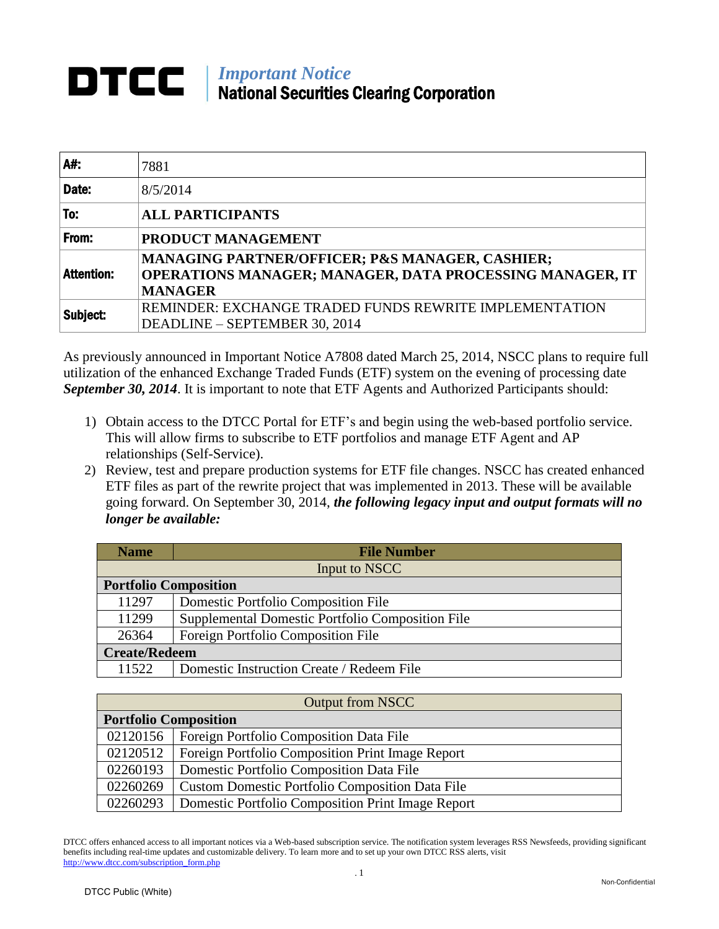## **DTCC** Mational Constitution National Securities Clearing Corporation

| A#:               | 7881                                                                                                                          |  |  |  |  |  |
|-------------------|-------------------------------------------------------------------------------------------------------------------------------|--|--|--|--|--|
| Date:             | 8/5/2014                                                                                                                      |  |  |  |  |  |
| To:               | <b>ALL PARTICIPANTS</b>                                                                                                       |  |  |  |  |  |
| From:             | PRODUCT MANAGEMENT                                                                                                            |  |  |  |  |  |
| <b>Attention:</b> | MANAGING PARTNER/OFFICER; P&S MANAGER, CASHIER;<br>OPERATIONS MANAGER; MANAGER, DATA PROCESSING MANAGER, IT<br><b>MANAGER</b> |  |  |  |  |  |
| Subject:          | REMINDER: EXCHANGE TRADED FUNDS REWRITE IMPLEMENTATION<br>DEADLINE - SEPTEMBER 30, 2014                                       |  |  |  |  |  |

As previously announced in Important Notice A7808 dated March 25, 2014, NSCC plans to require full utilization of the enhanced Exchange Traded Funds (ETF) system on the evening of processing date *September 30, 2014*. It is important to note that ETF Agents and Authorized Participants should:

- 1) Obtain access to the DTCC Portal for ETF's and begin using the web-based portfolio service. This will allow firms to subscribe to ETF portfolios and manage ETF Agent and AP relationships (Self-Service).
- 2) Review, test and prepare production systems for ETF file changes. NSCC has created enhanced ETF files as part of the rewrite project that was implemented in 2013. These will be available going forward. On September 30, 2014, *the following legacy input and output formats will no longer be available:*

| <b>Name</b>                  | <b>File Number</b>                               |  |  |  |
|------------------------------|--------------------------------------------------|--|--|--|
|                              | Input to NSCC                                    |  |  |  |
| <b>Portfolio Composition</b> |                                                  |  |  |  |
| 11297                        | Domestic Portfolio Composition File              |  |  |  |
| 11299                        | Supplemental Domestic Portfolio Composition File |  |  |  |
| 26364                        | Foreign Portfolio Composition File               |  |  |  |
| <b>Create/Redeem</b>         |                                                  |  |  |  |
| 11522                        | Domestic Instruction Create / Redeem File        |  |  |  |

| <b>Output from NSCC</b>      |                                                        |  |  |  |  |
|------------------------------|--------------------------------------------------------|--|--|--|--|
| <b>Portfolio Composition</b> |                                                        |  |  |  |  |
| 02120156                     | <b>Foreign Portfolio Composition Data File</b>         |  |  |  |  |
| 02120512                     | Foreign Portfolio Composition Print Image Report       |  |  |  |  |
| 02260193                     | Domestic Portfolio Composition Data File               |  |  |  |  |
| 02260269                     | <b>Custom Domestic Portfolio Composition Data File</b> |  |  |  |  |
| 02260293                     | Domestic Portfolio Composition Print Image Report      |  |  |  |  |

DTCC offers enhanced access to all important notices via a Web-based subscription service. The notification system leverages RSS Newsfeeds, providing significant benefits including real-time updates and customizable delivery. To learn more and to set up your own DTCC RSS alerts, visit http://www.dtcc.com/subscription\_form.php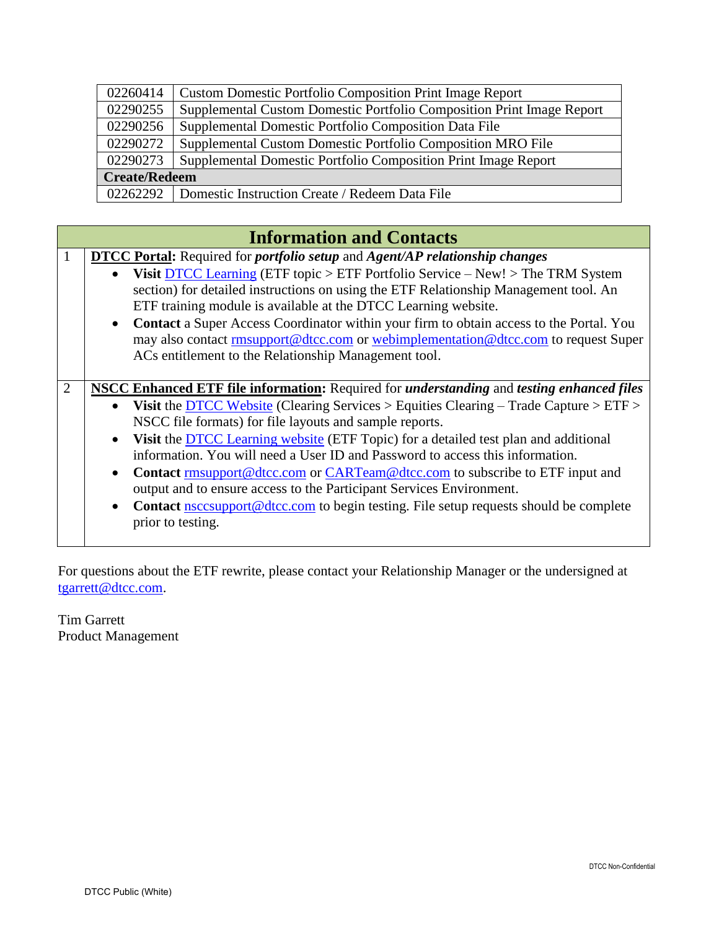| 02260414             | <b>Custom Domestic Portfolio Composition Print Image Report</b>       |  |  |  |  |
|----------------------|-----------------------------------------------------------------------|--|--|--|--|
| 02290255             | Supplemental Custom Domestic Portfolio Composition Print Image Report |  |  |  |  |
| 02290256             | Supplemental Domestic Portfolio Composition Data File                 |  |  |  |  |
| 02290272             | Supplemental Custom Domestic Portfolio Composition MRO File           |  |  |  |  |
| 02290273             | Supplemental Domestic Portfolio Composition Print Image Report        |  |  |  |  |
| <b>Create/Redeem</b> |                                                                       |  |  |  |  |
| 02262292             | Domestic Instruction Create / Redeem Data File                        |  |  |  |  |

|   | <b>Information and Contacts</b>                                                                                                                                                                                                                                                                                                                                                                                                                                                                                                                                                                                                                                                                                                                             |  |  |  |  |  |  |  |
|---|-------------------------------------------------------------------------------------------------------------------------------------------------------------------------------------------------------------------------------------------------------------------------------------------------------------------------------------------------------------------------------------------------------------------------------------------------------------------------------------------------------------------------------------------------------------------------------------------------------------------------------------------------------------------------------------------------------------------------------------------------------------|--|--|--|--|--|--|--|
|   | <b>DTCC Portal:</b> Required for <i>portfolio setup</i> and <i>Agent/AP relationship changes</i><br><b>Visit DTCC Learning (ETF topic &gt; ETF Portfolio Service - New! &gt; The TRM System</b><br>$\bullet$<br>section) for detailed instructions on using the ETF Relationship Management tool. An<br>ETF training module is available at the DTCC Learning website.<br>Contact a Super Access Coordinator within your firm to obtain access to the Portal. You<br>$\bullet$<br>may also contact rmsupport@dtcc.com or webimplementation@dtcc.com to request Super<br>ACs entitlement to the Relationship Management tool.                                                                                                                                |  |  |  |  |  |  |  |
| 2 | <b>NSCC Enhanced ETF file information:</b> Required for <i>understanding</i> and <i>testing enhanced files</i><br>• Visit the DTCC Website (Clearing Services > Equities Clearing – Trade Capture > $ETF$ ><br>NSCC file formats) for file layouts and sample reports.<br>Visit the DTCC Learning website (ETF Topic) for a detailed test plan and additional<br>$\bullet$<br>information. You will need a User ID and Password to access this information.<br>Contact rmsupport@dtcc.com or CARTeam@dtcc.com to subscribe to ETF input and<br>$\bullet$<br>output and to ensure access to the Participant Services Environment.<br>Contact nsccsupport@dtcc.com to begin testing. File setup requests should be complete<br>$\bullet$<br>prior to testing. |  |  |  |  |  |  |  |

For questions about the ETF rewrite, please contact your Relationship Manager or the undersigned at [tgarrett@dtcc.com.](mailto:tgarrett@dtcc.com)

Tim Garrett Product Management